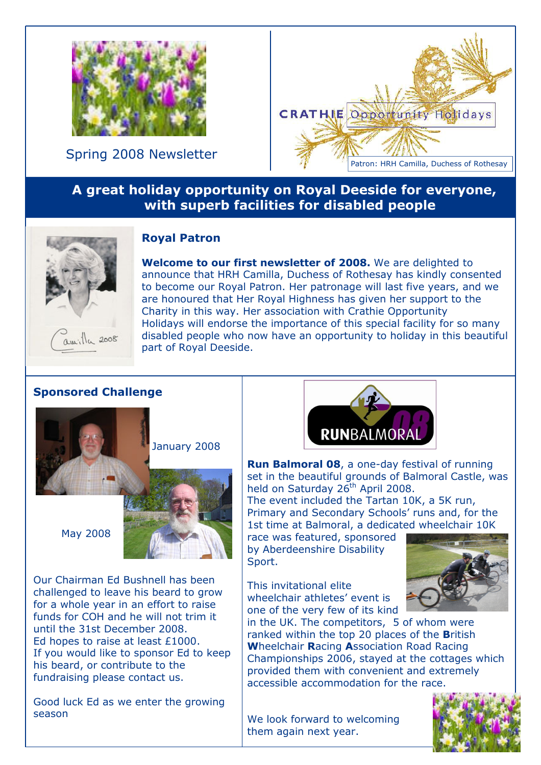

Spring 2008 Newsletter



## A great holiday opportunity on Royal Deeside for everyone, with superb facilities for disabled people



Royal Patron

Welcome to our first newsletter of 2008. We are delighted to announce that HRH Camilla, Duchess of Rothesay has kindly consented to become our Royal Patron. Her patronage will last five years, and we are honoured that Her Royal Highness has given her support to the Charity in this way. Her association with Crathie Opportunity Holidays will endorse the importance of this special facility for so many disabled people who now have an opportunity to holiday in this beautiful part of Royal Deeside.

## Sponsored Challenge



January 2008

May 2008



Our Chairman Ed Bushnell has been challenged to leave his beard to grow for a whole year in an effort to raise funds for COH and he will not trim it until the 31st December 2008. Ed hopes to raise at least £1000. If you would like to sponsor Ed to keep his beard, or contribute to the fundraising please contact us.

Good luck Ed as we enter the growing season



Run Balmoral 08, a one-day festival of running set in the beautiful grounds of Balmoral Castle, was held on Saturday 26<sup>th</sup> April 2008.

The event included the Tartan 10K, a 5K run, Primary and Secondary Schools' runs and, for the 1st time at Balmoral, a dedicated wheelchair 10K

race was featured, sponsored by Aberdeenshire Disability Sport.

This invitational elite wheelchair athletes' event is one of the very few of its kind



in the UK. The competitors, 5 of whom were ranked within the top 20 places of the British Wheelchair Racing Association Road Racing Championships 2006, stayed at the cottages which provided them with convenient and extremely accessible accommodation for the race.

We look forward to welcoming them again next year.